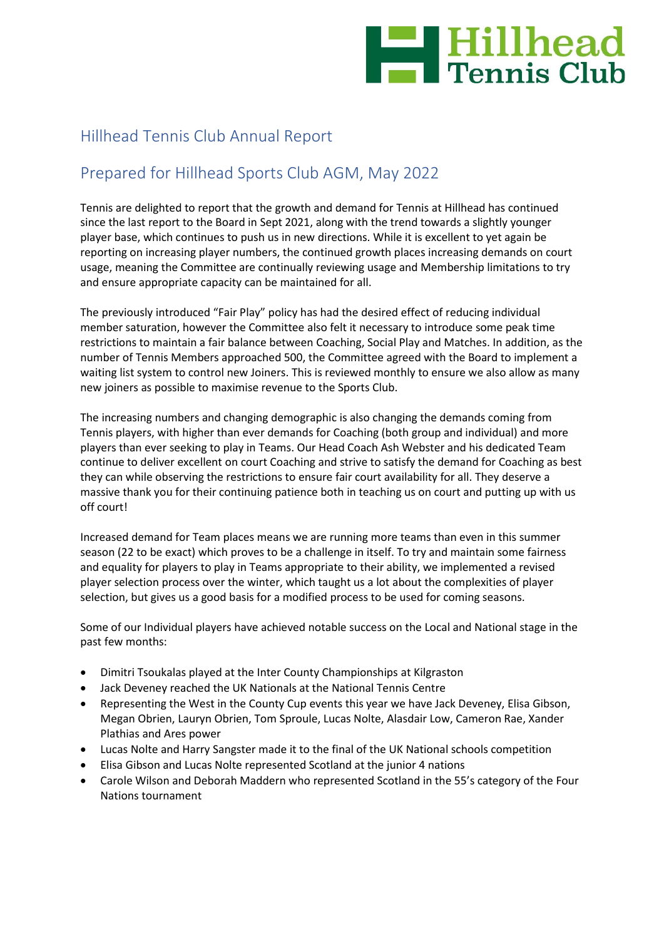

# Hillhead Tennis Club Annual Report

## Prepared for Hillhead Sports Club AGM, May 2022

Tennis are delighted to report that the growth and demand for Tennis at Hillhead has continued since the last report to the Board in Sept 2021, along with the trend towards a slightly younger player base, which continues to push us in new directions. While it is excellent to yet again be reporting on increasing player numbers, the continued growth places increasing demands on court usage, meaning the Committee are continually reviewing usage and Membership limitations to try and ensure appropriate capacity can be maintained for all.

The previously introduced "Fair Play" policy has had the desired effect of reducing individual member saturation, however the Committee also felt it necessary to introduce some peak time restrictions to maintain a fair balance between Coaching, Social Play and Matches. In addition, as the number of Tennis Members approached 500, the Committee agreed with the Board to implement a waiting list system to control new Joiners. This is reviewed monthly to ensure we also allow as many new joiners as possible to maximise revenue to the Sports Club.

The increasing numbers and changing demographic is also changing the demands coming from Tennis players, with higher than ever demands for Coaching (both group and individual) and more players than ever seeking to play in Teams. Our Head Coach Ash Webster and his dedicated Team continue to deliver excellent on court Coaching and strive to satisfy the demand for Coaching as best they can while observing the restrictions to ensure fair court availability for all. They deserve a massive thank you for their continuing patience both in teaching us on court and putting up with us off court!

Increased demand for Team places means we are running more teams than even in this summer season (22 to be exact) which proves to be a challenge in itself. To try and maintain some fairness and equality for players to play in Teams appropriate to their ability, we implemented a revised player selection process over the winter, which taught us a lot about the complexities of player selection, but gives us a good basis for a modified process to be used for coming seasons.

Some of our Individual players have achieved notable success on the Local and National stage in the past few months:

- Dimitri Tsoukalas played at the Inter County Championships at Kilgraston
- Jack Deveney reached the UK Nationals at the National Tennis Centre
- Representing the West in the County Cup events this year we have Jack Deveney, Elisa Gibson, Megan Obrien, Lauryn Obrien, Tom Sproule, Lucas Nolte, Alasdair Low, Cameron Rae, Xander Plathias and Ares power
- Lucas Nolte and Harry Sangster made it to the final of the UK National schools competition
- Elisa Gibson and Lucas Nolte represented Scotland at the junior 4 nations
- Carole Wilson and Deborah Maddern who represented Scotland in the 55's category of the Four Nations tournament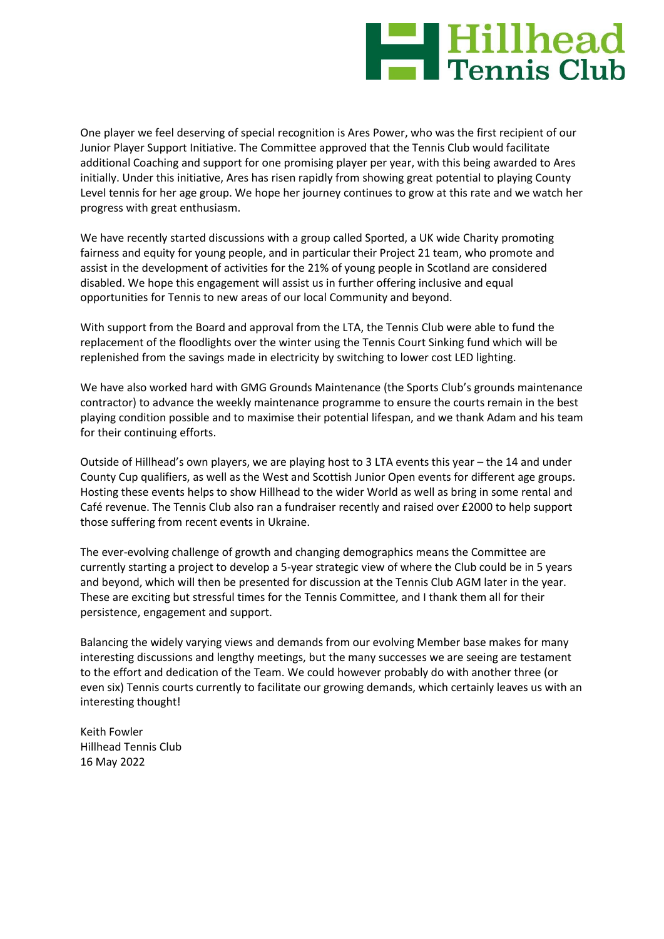# **Expedited Hillhead**

One player we feel deserving of special recognition is Ares Power, who was the first recipient of our Junior Player Support Initiative. The Committee approved that the Tennis Club would facilitate additional Coaching and support for one promising player per year, with this being awarded to Ares initially. Under this initiative, Ares has risen rapidly from showing great potential to playing County Level tennis for her age group. We hope her journey continues to grow at this rate and we watch her progress with great enthusiasm.

We have recently started discussions with a group called Sported, a UK wide Charity promoting fairness and equity for young people, and in particular their Project 21 team, who promote and assist in the development of activities for the 21% of young people in Scotland are considered disabled. We hope this engagement will assist us in further offering inclusive and equal opportunities for Tennis to new areas of our local Community and beyond.

With support from the Board and approval from the LTA, the Tennis Club were able to fund the replacement of the floodlights over the winter using the Tennis Court Sinking fund which will be replenished from the savings made in electricity by switching to lower cost LED lighting.

We have also worked hard with GMG Grounds Maintenance (the Sports Club's grounds maintenance contractor) to advance the weekly maintenance programme to ensure the courts remain in the best playing condition possible and to maximise their potential lifespan, and we thank Adam and his team for their continuing efforts.

Outside of Hillhead's own players, we are playing host to 3 LTA events this year – the 14 and under County Cup qualifiers, as well as the West and Scottish Junior Open events for different age groups. Hosting these events helps to show Hillhead to the wider World as well as bring in some rental and Café revenue. The Tennis Club also ran a fundraiser recently and raised over £2000 to help support those suffering from recent events in Ukraine.

The ever-evolving challenge of growth and changing demographics means the Committee are currently starting a project to develop a 5-year strategic view of where the Club could be in 5 years and beyond, which will then be presented for discussion at the Tennis Club AGM later in the year. These are exciting but stressful times for the Tennis Committee, and I thank them all for their persistence, engagement and support.

Balancing the widely varying views and demands from our evolving Member base makes for many interesting discussions and lengthy meetings, but the many successes we are seeing are testament to the effort and dedication of the Team. We could however probably do with another three (or even six) Tennis courts currently to facilitate our growing demands, which certainly leaves us with an interesting thought!

Keith Fowler Hillhead Tennis Club 16 May 2022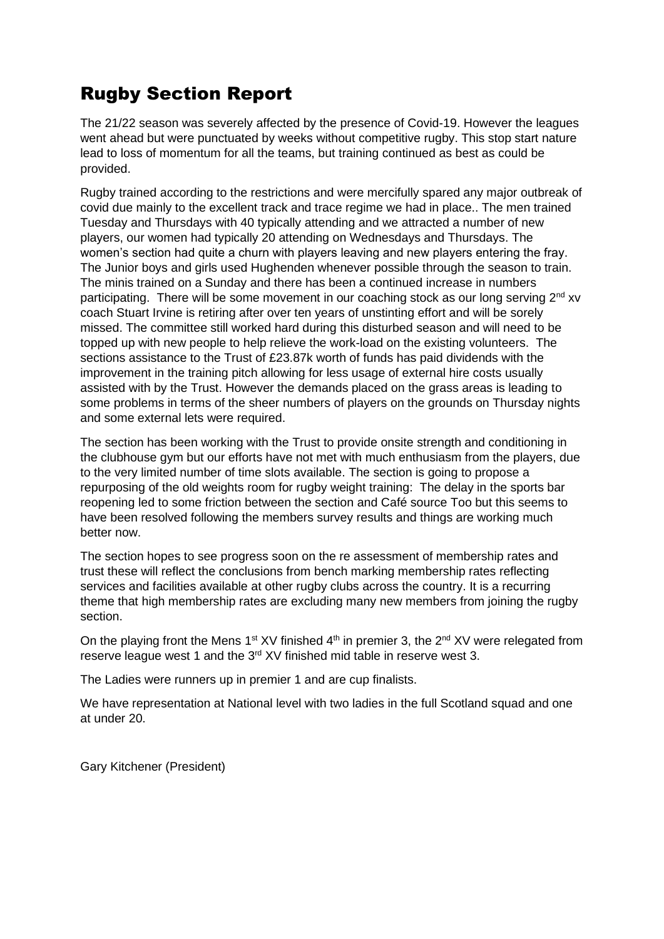# Rugby Section Report

The 21/22 season was severely affected by the presence of Covid-19. However the leagues went ahead but were punctuated by weeks without competitive rugby. This stop start nature lead to loss of momentum for all the teams, but training continued as best as could be provided.

Rugby trained according to the restrictions and were mercifully spared any major outbreak of covid due mainly to the excellent track and trace regime we had in place.. The men trained Tuesday and Thursdays with 40 typically attending and we attracted a number of new players, our women had typically 20 attending on Wednesdays and Thursdays. The women's section had quite a churn with players leaving and new players entering the fray. The Junior boys and girls used Hughenden whenever possible through the season to train. The minis trained on a Sunday and there has been a continued increase in numbers participating. There will be some movement in our coaching stock as our long serving  $2<sup>nd</sup>$  xv coach Stuart Irvine is retiring after over ten years of unstinting effort and will be sorely missed. The committee still worked hard during this disturbed season and will need to be topped up with new people to help relieve the work-load on the existing volunteers. The sections assistance to the Trust of £23.87k worth of funds has paid dividends with the improvement in the training pitch allowing for less usage of external hire costs usually assisted with by the Trust. However the demands placed on the grass areas is leading to some problems in terms of the sheer numbers of players on the grounds on Thursday nights and some external lets were required.

The section has been working with the Trust to provide onsite strength and conditioning in the clubhouse gym but our efforts have not met with much enthusiasm from the players, due to the very limited number of time slots available. The section is going to propose a repurposing of the old weights room for rugby weight training: The delay in the sports bar reopening led to some friction between the section and Café source Too but this seems to have been resolved following the members survey results and things are working much better now.

The section hopes to see progress soon on the re assessment of membership rates and trust these will reflect the conclusions from bench marking membership rates reflecting services and facilities available at other rugby clubs across the country. It is a recurring theme that high membership rates are excluding many new members from joining the rugby section.

On the playing front the Mens 1<sup>st</sup> XV finished  $4<sup>th</sup>$  in premier 3, the 2<sup>nd</sup> XV were relegated from reserve league west 1 and the 3<sup>rd</sup> XV finished mid table in reserve west 3.

The Ladies were runners up in premier 1 and are cup finalists.

We have representation at National level with two ladies in the full Scotland squad and one at under 20.

Gary Kitchener (President)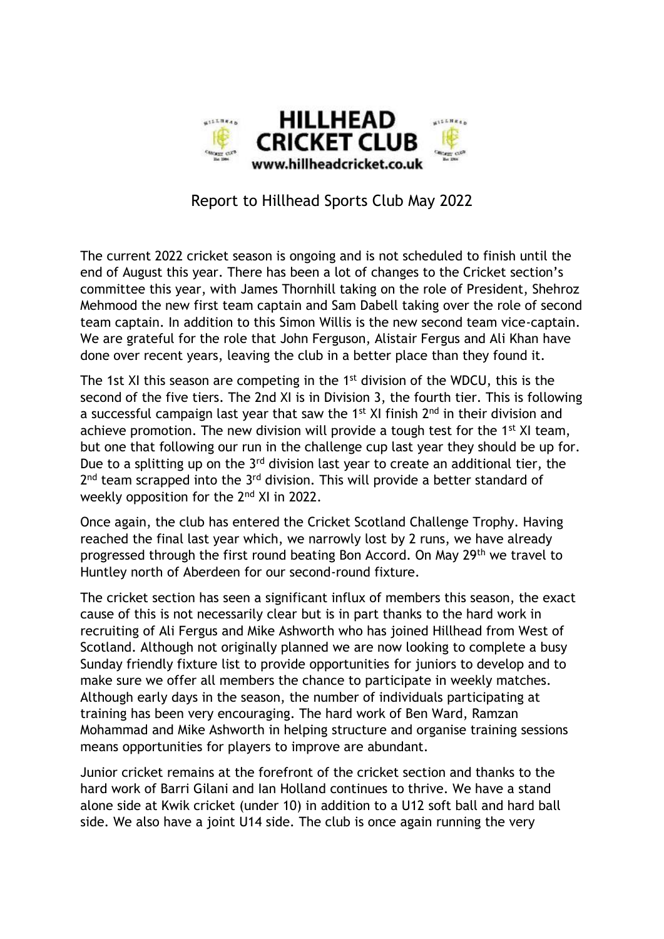

# Report to Hillhead Sports Club May 2022

The current 2022 cricket season is ongoing and is not scheduled to finish until the end of August this year. There has been a lot of changes to the Cricket section's committee this year, with James Thornhill taking on the role of President, Shehroz Mehmood the new first team captain and Sam Dabell taking over the role of second team captain. In addition to this Simon Willis is the new second team vice-captain. We are grateful for the role that John Ferguson, Alistair Fergus and Ali Khan have done over recent years, leaving the club in a better place than they found it.

The 1st XI this season are competing in the 1<sup>st</sup> division of the WDCU, this is the second of the five tiers. The 2nd XI is in Division 3, the fourth tier. This is following a successful campaign last year that saw the 1<sup>st</sup> XI finish  $2<sup>nd</sup>$  in their division and achieve promotion. The new division will provide a tough test for the 1<sup>st</sup> XI team, but one that following our run in the challenge cup last year they should be up for. Due to a splitting up on the  $3<sup>rd</sup>$  division last year to create an additional tier, the 2<sup>nd</sup> team scrapped into the 3<sup>rd</sup> division. This will provide a better standard of weekly opposition for the 2nd XI in 2022.

Once again, the club has entered the Cricket Scotland Challenge Trophy. Having reached the final last year which, we narrowly lost by 2 runs, we have already progressed through the first round beating Bon Accord. On May 29th we travel to Huntley north of Aberdeen for our second-round fixture.

The cricket section has seen a significant influx of members this season, the exact cause of this is not necessarily clear but is in part thanks to the hard work in recruiting of Ali Fergus and Mike Ashworth who has joined Hillhead from West of Scotland. Although not originally planned we are now looking to complete a busy Sunday friendly fixture list to provide opportunities for juniors to develop and to make sure we offer all members the chance to participate in weekly matches. Although early days in the season, the number of individuals participating at training has been very encouraging. The hard work of Ben Ward, Ramzan Mohammad and Mike Ashworth in helping structure and organise training sessions means opportunities for players to improve are abundant.

Junior cricket remains at the forefront of the cricket section and thanks to the hard work of Barri Gilani and Ian Holland continues to thrive. We have a stand alone side at Kwik cricket (under 10) in addition to a U12 soft ball and hard ball side. We also have a joint U14 side. The club is once again running the very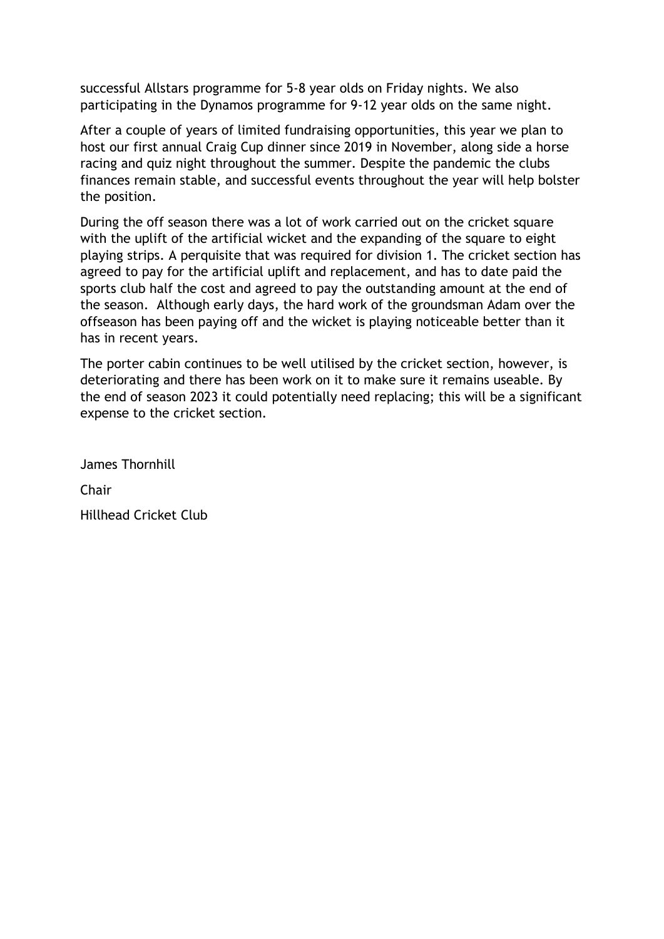successful Allstars programme for 5-8 year olds on Friday nights. We also participating in the Dynamos programme for 9-12 year olds on the same night.

After a couple of years of limited fundraising opportunities, this year we plan to host our first annual Craig Cup dinner since 2019 in November, along side a horse racing and quiz night throughout the summer. Despite the pandemic the clubs finances remain stable, and successful events throughout the year will help bolster the position.

During the off season there was a lot of work carried out on the cricket square with the uplift of the artificial wicket and the expanding of the square to eight playing strips. A perquisite that was required for division 1. The cricket section has agreed to pay for the artificial uplift and replacement, and has to date paid the sports club half the cost and agreed to pay the outstanding amount at the end of the season. Although early days, the hard work of the groundsman Adam over the offseason has been paying off and the wicket is playing noticeable better than it has in recent years.

The porter cabin continues to be well utilised by the cricket section, however, is deteriorating and there has been work on it to make sure it remains useable. By the end of season 2023 it could potentially need replacing; this will be a significant expense to the cricket section.

James Thornhill Chair Hillhead Cricket Club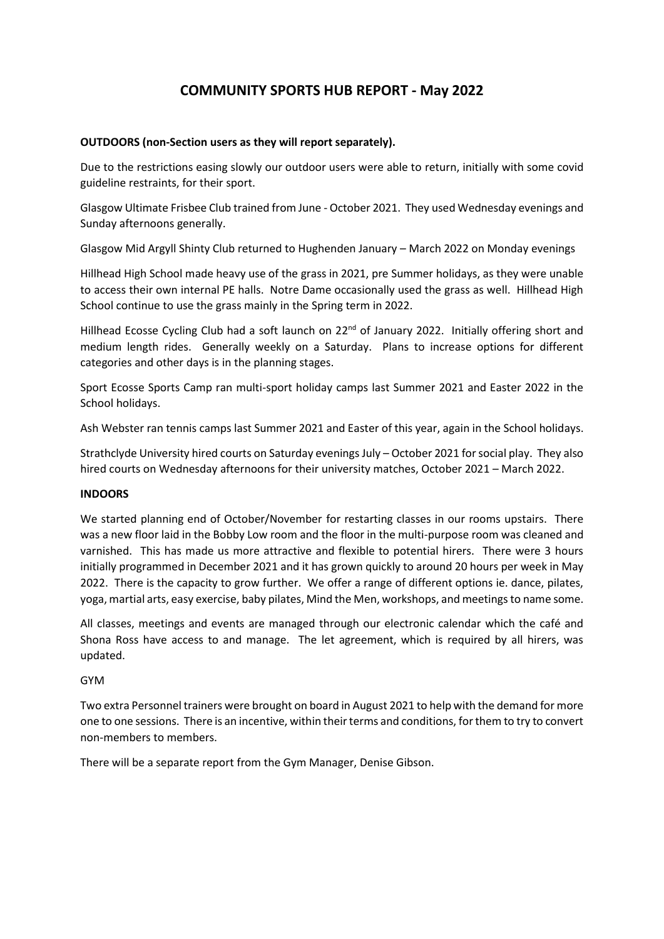## **COMMUNITY SPORTS HUB REPORT - May 2022**

## **OUTDOORS (non-Section users as they will report separately).**

Due to the restrictions easing slowly our outdoor users were able to return, initially with some covid guideline restraints, for their sport.

Glasgow Ultimate Frisbee Club trained from June - October 2021. They used Wednesday evenings and Sunday afternoons generally.

Glasgow Mid Argyll Shinty Club returned to Hughenden January – March 2022 on Monday evenings

Hillhead High School made heavy use of the grass in 2021, pre Summer holidays, as they were unable to access their own internal PE halls. Notre Dame occasionally used the grass as well. Hillhead High School continue to use the grass mainly in the Spring term in 2022.

Hillhead Ecosse Cycling Club had a soft launch on 22<sup>nd</sup> of January 2022. Initially offering short and medium length rides. Generally weekly on a Saturday. Plans to increase options for different categories and other days is in the planning stages.

Sport Ecosse Sports Camp ran multi-sport holiday camps last Summer 2021 and Easter 2022 in the School holidays.

Ash Webster ran tennis camps last Summer 2021 and Easter of this year, again in the School holidays.

Strathclyde University hired courts on Saturday evenings July – October 2021 for social play. They also hired courts on Wednesday afternoons for their university matches, October 2021 – March 2022.

## **INDOORS**

We started planning end of October/November for restarting classes in our rooms upstairs. There was a new floor laid in the Bobby Low room and the floor in the multi-purpose room was cleaned and varnished. This has made us more attractive and flexible to potential hirers. There were 3 hours initially programmed in December 2021 and it has grown quickly to around 20 hours per week in May 2022. There is the capacity to grow further. We offer a range of different options ie. dance, pilates, yoga, martial arts, easy exercise, baby pilates, Mind the Men, workshops, and meetings to name some.

All classes, meetings and events are managed through our electronic calendar which the café and Shona Ross have access to and manage. The let agreement, which is required by all hirers, was updated.

## GYM

Two extra Personnel trainers were brought on board in August 2021 to help with the demand for more one to one sessions. There is an incentive, within their terms and conditions, for them to try to convert non-members to members.

There will be a separate report from the Gym Manager, Denise Gibson.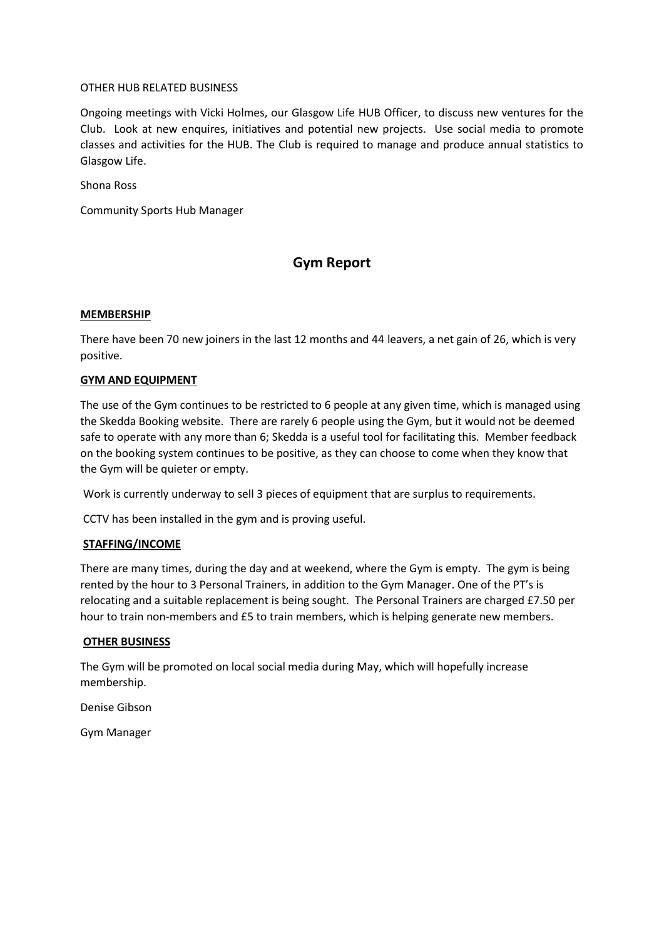## OTHER HUB RELATED BUSINESS

Ongoing meetings with Vicki Holmes, our Glasgow Life HUB Officer, to discuss new ventures for the Club. Look at new enquires, initiatives and potential new projects. Use social media to promote classes and activities for the HUB. The Club is required to manage and produce annual statistics to Glasgow Life.

Shona Ross

Community Sports Hub Manager

## **Gym Report**

## **MEMBERSHIP**

There have been 70 new joiners in the last 12 months and 44 leavers, a net gain of 26, which is very positive.

## **GYM AND EQUIPMENT**

The use of the Gym continues to be restricted to 6 people at any given time, which is managed using the Skedda Booking website. There are rarely 6 people using the Gym, but it would not be deemed safe to operate with any more than 6; Skedda is a useful tool for facilitating this. Member feedback on the booking system continues to be positive, as they can choose to come when they know that the Gym will be quieter or empty.

Work is currently underway to sell 3 pieces of equipment that are surplus to requirements.

CCTV has been installed in the gym and is proving useful.

## **STAFFING/INCOME**

There are many times, during the day and at weekend, where the Gym is empty. The gym is being rented by the hour to 3 Personal Trainers, in addition to the Gym Manager. One of the PT's is relocating and a suitable replacement is being sought. The Personal Trainers are charged £7.50 per hour to train non-members and £5 to train members, which is helping generate new members.

## **OTHER BUSINESS**

The Gym will be promoted on local social media during May, which will hopefully increase membership.

Denise Gibson

Gym Manager